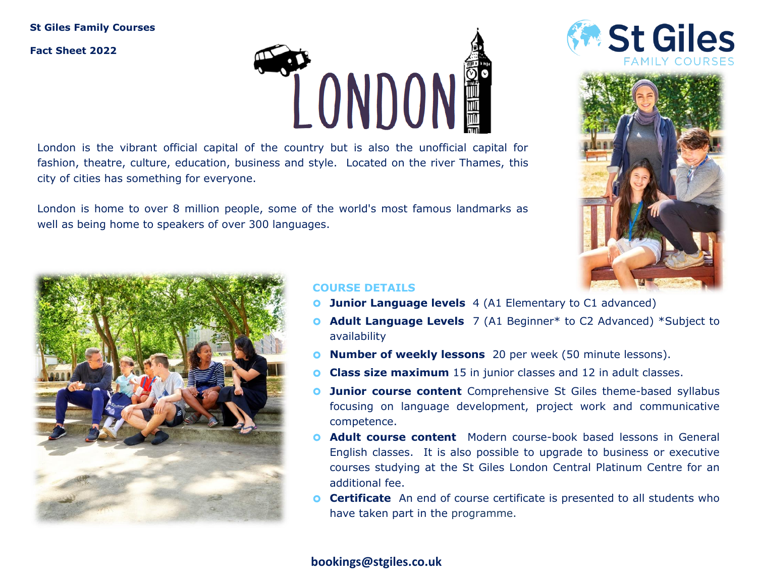# **St Giles Family Courses**

**Fact Sheet 2022**



London is the vibrant official capital of the country but is also the unofficial capital for fashion, theatre, culture, education, business and style. Located on the river Thames, this city of cities has something for everyone.

London is home to over 8 million people, some of the world's most famous landmarks as well as being home to speakers of over 300 languages.







# **COURSE DETAILS**

- **O** Junior Language levels 4 (A1 Elementary to C1 advanced)
- **Adult Language Levels** 7 (A1 Beginner\* to C2 Advanced) \*Subject to availability
- **O** Number of weekly lessons 20 per week (50 minute lessons).
- **Class size maximum** 15 in junior classes and 12 in adult classes.
- **O** Junior course content Comprehensive St Giles theme-based syllabus focusing on language development, project work and communicative competence.
- **Adult course content** Modern course-book based lessons in General English classes. It is also possible to upgrade to business or executive courses studying at the St Giles London Central Platinum Centre for an additional fee.
- **Certificate** An end of course certificate is presented to all students who have taken part in the programme.

# **bookings@stgiles.co.uk**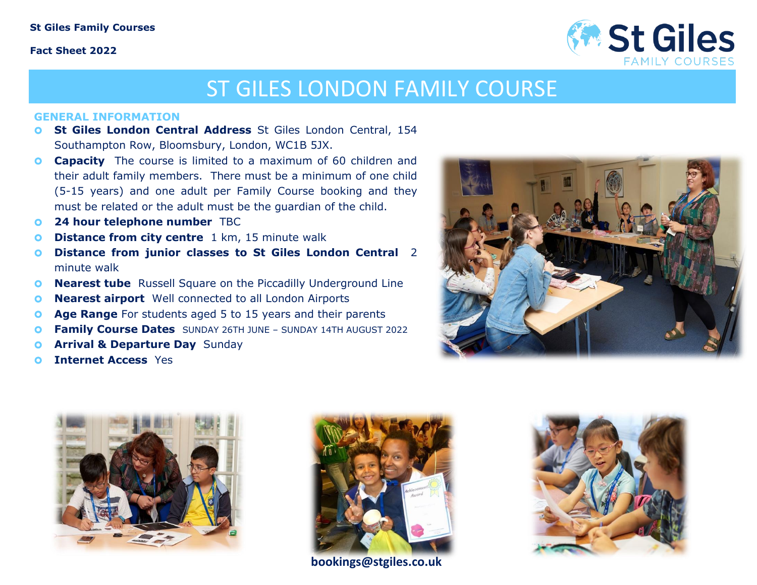### **St Giles Family Courses**

### **Fact Sheet 2022**



# ST GILES LONDON FAMILY COURSE

#### **GENERAL INFORMATION**

- **St Giles London Central Address** St Giles London Central, 154 Southampton Row, Bloomsbury, London, WC1B 5JX.
- **Capacity** The course is limited to a maximum of 60 children and their adult family members. There must be a minimum of one child (5-15 years) and one adult per Family Course booking and they must be related or the adult must be the guardian of the child.
- **24 hour telephone number** TBC
- **O** Distance from city centre 1 km, 15 minute walk
- **Distance from junior classes to St Giles London Central** 2 minute walk
- **O** Nearest tube Russell Square on the Piccadilly Underground Line
- **O** Nearest airport Well connected to all London Airports
- **Age Range** For students aged 5 to 15 years and their parents
- **Family Course Dates** SUNDAY 26TH JUNE SUNDAY 14TH AUGUST 2022
- **O Arrival & Departure Day** Sunday
- **Internet Access** Yes







**bookings@stgiles.co.uk**